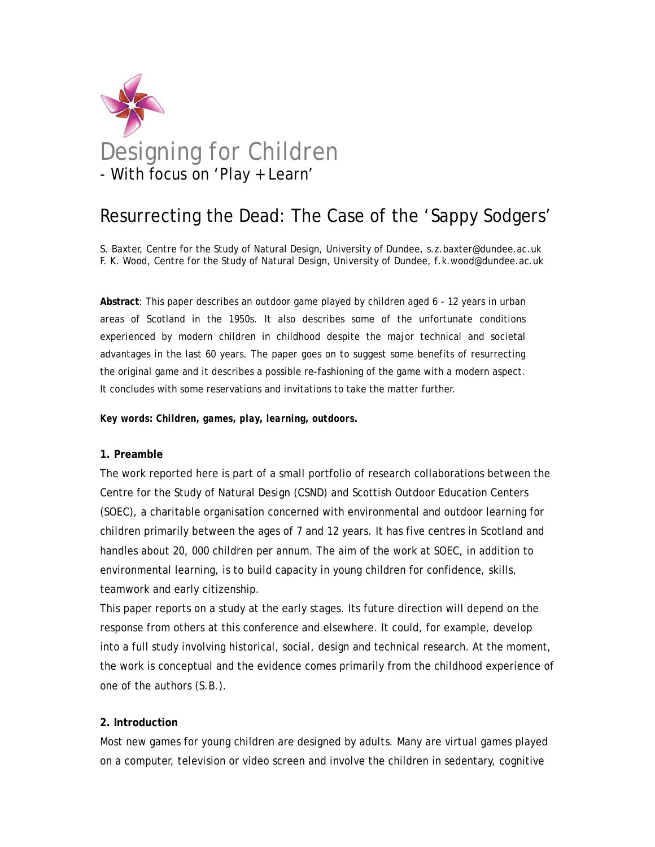

# Resurrecting the Dead: The Case of the 'Sappy Sodgers'

S. Baxter, Centre for the Study of Natural Design, University of Dundee, s.z.baxter@dundee.ac.uk F. K. Wood, Centre for the Study of Natural Design, University of Dundee, f.k.wood@dundee.ac.uk

**Abstract**: This paper describes an outdoor game played by children aged 6 - 12 years in urban areas of Scotland in the 1950s. It also describes some of the unfortunate conditions experienced by modern children in childhood despite the major technical and societal advantages in the last 60 years. The paper goes on to suggest some benefits of resurrecting the original game and it describes a possible re-fashioning of the game with a modern aspect. It concludes with some reservations and invitations to take the matter further.

*Key words: Children, games, play, learning, outdoors.* 

# **1. Preamble**

The work reported here is part of a small portfolio of research collaborations between the Centre for the Study of Natural Design (CSND) and Scottish Outdoor Education Centers (SOEC), a charitable organisation concerned with environmental and outdoor learning for children primarily between the ages of 7 and 12 years. It has five centres in Scotland and handles about 20, 000 children per annum. The aim of the work at SOEC, in addition to environmental learning, is to build capacity in young children for confidence, skills, teamwork and early citizenship.

This paper reports on a study at the early stages. Its future direction will depend on the response from others at this conference and elsewhere. It could, for example, develop into a full study involving historical, social, design and technical research. At the moment, the work is conceptual and the evidence comes primarily from the childhood experience of one of the authors (S.B.).

# **2. Introduction**

Most new games for young children are designed by adults. Many are virtual games played on a computer, television or video screen and involve the children in sedentary, cognitive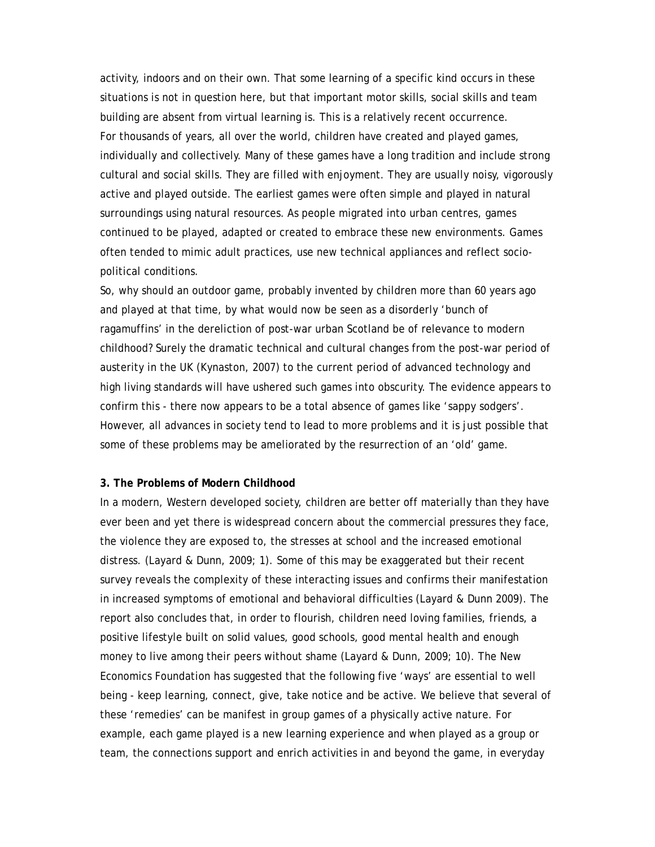activity, indoors and on their own. That some learning of a specific kind occurs in these situations is not in question here, but that important motor skills, social skills and team building are absent from virtual learning is. This is a relatively recent occurrence. For thousands of years, all over the world, children have created and played games, individually and collectively. Many of these games have a long tradition and include strong cultural and social skills. They are filled with enjoyment. They are usually noisy, vigorously active and played outside. The earliest games were often simple and played in natural surroundings using natural resources. As people migrated into urban centres, games continued to be played, adapted or created to embrace these new environments. Games often tended to mimic adult practices, use new technical appliances and reflect sociopolitical conditions.

So, why should an outdoor game, probably invented by children more than 60 years ago and played at that time, by what would now be seen as a disorderly 'bunch of ragamuffins' in the dereliction of post-war urban Scotland be of relevance to modern childhood? Surely the dramatic technical and cultural changes from the post-war period of austerity in the UK (Kynaston, 2007) to the current period of advanced technology and high living standards will have ushered such games into obscurity. The evidence appears to confirm this - there now appears to be a total absence of games like 'sappy sodgers'. However, all advances in society tend to lead to more problems and it is just possible that some of these problems may be ameliorated by the resurrection of an 'old' game.

#### **3. The Problems of Modern Childhood**

In a modern, Western developed society, children are better off materially than they have ever been and yet there is widespread concern about the commercial pressures they face, the violence they are exposed to, the stresses at school and the increased emotional distress. (Layard & Dunn, 2009; 1). Some of this may be exaggerated but their recent survey reveals the complexity of these interacting issues and confirms their manifestation in increased symptoms of emotional and behavioral difficulties (Layard & Dunn 2009). The report also concludes that, in order to flourish, children need loving families, friends, a positive lifestyle built on solid values, good schools, good mental health and enough money to live among their peers without shame (Layard & Dunn, 2009; 10). The New Economics Foundation has suggested that the following five 'ways' are essential to well being - keep learning, connect, give, take notice and be active. We believe that several of these 'remedies' can be manifest in group games of a physically active nature. For example, each game played is a new learning experience and when played as a group or team, the connections support and enrich activities in and beyond the game, in everyday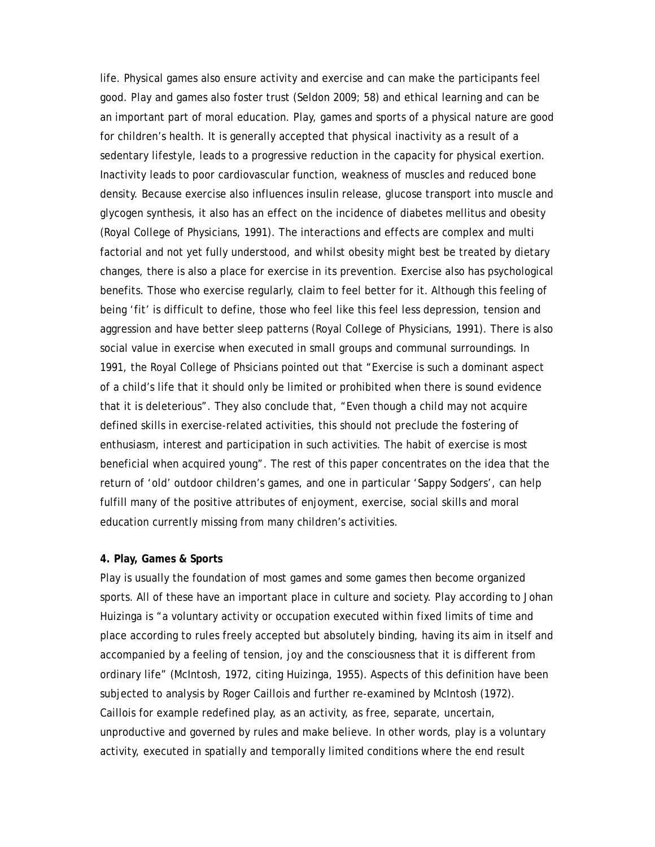life. Physical games also ensure activity and exercise and can make the participants feel good. Play and games also foster trust (Seldon 2009; 58) and ethical learning and can be an important part of moral education. Play, games and sports of a physical nature are good for children's health. It is generally accepted that physical inactivity as a result of a sedentary lifestyle, leads to a progressive reduction in the capacity for physical exertion. Inactivity leads to poor cardiovascular function, weakness of muscles and reduced bone density. Because exercise also influences insulin release, glucose transport into muscle and glycogen synthesis, it also has an effect on the incidence of diabetes mellitus and obesity (Royal College of Physicians, 1991). The interactions and effects are complex and multi factorial and not yet fully understood, and whilst obesity might best be treated by dietary changes, there is also a place for exercise in its prevention. Exercise also has psychological benefits. Those who exercise regularly, claim to feel better for it. Although this feeling of being 'fit' is difficult to define, those who feel like this feel less depression, tension and aggression and have better sleep patterns (Royal College of Physicians, 1991). There is also social value in exercise when executed in small groups and communal surroundings. In 1991, the Royal College of Phsicians pointed out that "Exercise is such a dominant aspect of a child's life that it should only be limited or prohibited when there is sound evidence that it is deleterious". They also conclude that, "Even though a child may not acquire defined skills in exercise-related activities, this should not preclude the fostering of enthusiasm, interest and participation in such activities. The habit of exercise is most beneficial when acquired young". The rest of this paper concentrates on the idea that the return of 'old' outdoor children's games, and one in particular 'Sappy Sodgers', can help fulfill many of the positive attributes of enjoyment, exercise, social skills and moral education currently missing from many children's activities.

# **4. Play, Games & Sports**

Play is usually the foundation of most games and some games then become organized sports. All of these have an important place in culture and society. Play according to Johan Huizinga is "a voluntary activity or occupation executed within fixed limits of time and place according to rules freely accepted but absolutely binding, having its aim in itself and accompanied by a feeling of tension, joy and the consciousness that it is different from ordinary life" (McIntosh, 1972, citing Huizinga, 1955). Aspects of this definition have been subjected to analysis by Roger Caillois and further re-examined by McIntosh (1972). Caillois for example redefined play, as an activity, as free, separate, uncertain, unproductive and governed by rules and make believe. In other words, play is a voluntary activity, executed in spatially and temporally limited conditions where the end result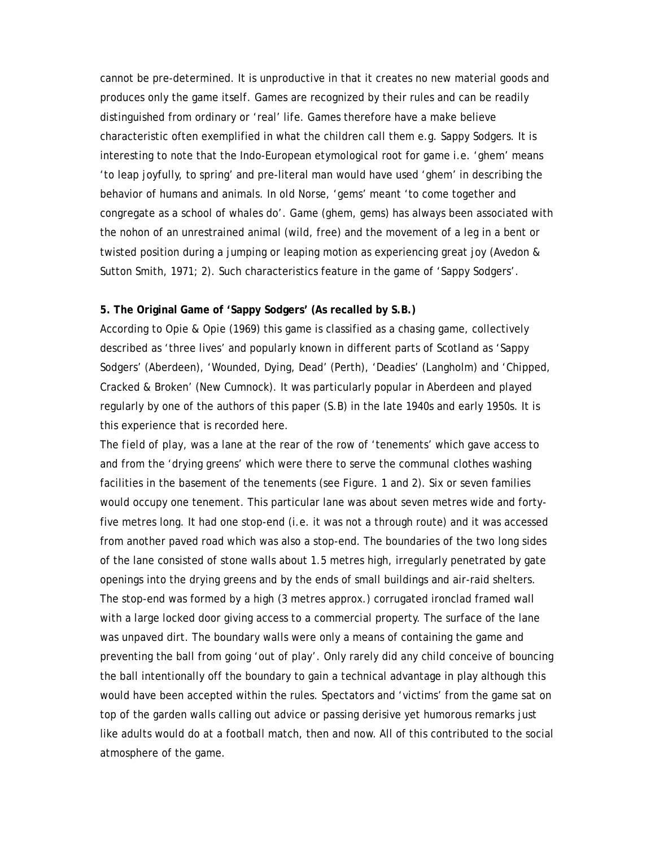cannot be pre-determined. It is unproductive in that it creates no new material goods and produces only the game itself. Games are recognized by their rules and can be readily distinguished from ordinary or 'real' life. Games therefore have a make believe characteristic often exemplified in what the children call them e.g. Sappy Sodgers. It is interesting to note that the Indo-European etymological root for game i.e. 'ghem' means 'to leap joyfully, to spring' and pre-literal man would have used 'ghem' in describing the behavior of humans and animals. In old Norse, 'gems' meant 'to come together and congregate as a school of whales do'. Game (ghem, gems) has always been associated with the nohon of an unrestrained animal (wild, free) and the movement of a leg in a bent or twisted position during a jumping or leaping motion as experiencing great joy (Avedon & Sutton Smith, 1971; 2). Such characteristics feature in the game of 'Sappy Sodgers'.

#### **5. The Original Game of 'Sappy Sodgers' (As recalled by S.B.)**

According to Opie & Opie (1969) this game is classified as a chasing game, collectively described as 'three lives' and popularly known in different parts of Scotland as 'Sappy Sodgers' (Aberdeen), 'Wounded, Dying, Dead' (Perth), 'Deadies' (Langholm) and 'Chipped, Cracked & Broken' (New Cumnock). It was particularly popular in Aberdeen and played regularly by one of the authors of this paper (S.B) in the late 1940s and early 1950s. It is this experience that is recorded here.

The *field of play*, was a lane at the rear of the row of 'tenements' which gave access to and from the 'drying greens' which were there to serve the communal clothes washing facilities in the basement of the tenements (see Figure. 1 and 2). Six or seven families would occupy one tenement. This particular lane was about seven metres wide and fortyfive metres long. It had one stop-end (i.e. it was not a through route) and it was accessed from another paved road which was also a stop-end. The boundaries of the two long sides of the lane consisted of stone walls about 1.5 metres high, irregularly penetrated by gate openings into the drying greens and by the ends of small buildings and air-raid shelters. The stop-end was formed by a high (3 metres approx.) corrugated ironclad framed wall with a large locked door giving access to a commercial property. The surface of the lane was unpaved dirt. The boundary walls were only a means of containing the game and preventing the ball from going 'out of play'. Only rarely did any child conceive of bouncing the ball intentionally off the boundary to gain a technical advantage in play although this would have been accepted within the rules. Spectators and 'victims' from the game sat on top of the garden walls calling out advice or passing derisive yet humorous remarks just like adults would do at a football match, then and now. All of this contributed to the social atmosphere of the game.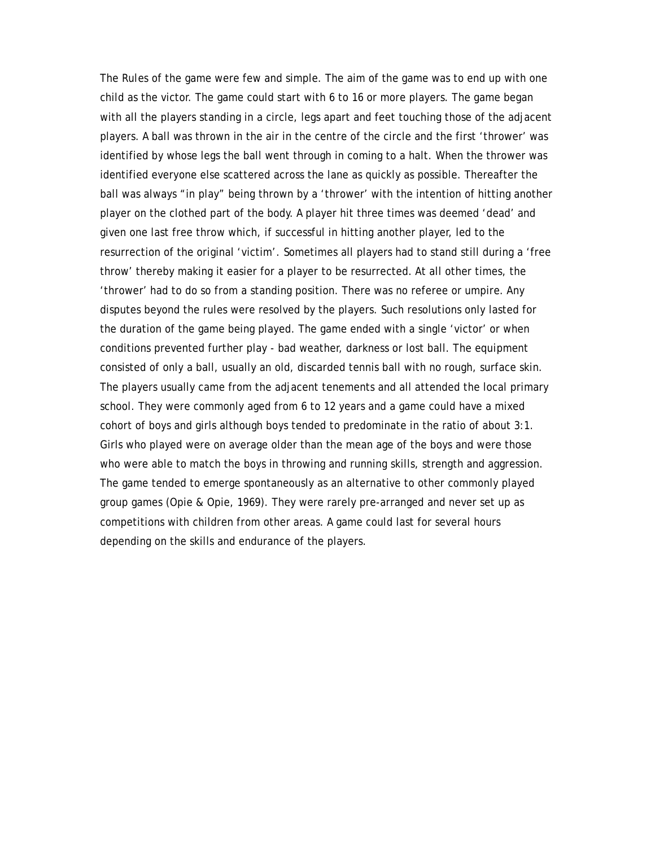The *Rules* of the game were few and simple. The aim of the game was to end up with one child as the victor. The game could start with 6 to 16 or more players. The game began with all the players standing in a circle, legs apart and feet touching those of the adjacent players. A ball was thrown in the air in the centre of the circle and the first 'thrower' was identified by whose legs the ball went through in coming to a halt. When the thrower was identified everyone else scattered across the lane as quickly as possible. Thereafter the ball was always "in play" being thrown by a 'thrower' with the intention of hitting another player on the clothed part of the body. A player hit three times was deemed 'dead' and given one last free throw which, if successful in hitting another player, led to the resurrection of the original 'victim'. Sometimes all players had to stand still during a 'free throw' thereby making it easier for a player to be resurrected. At all other times, the 'thrower' had to do so from a standing position. There was no referee or umpire. Any disputes beyond the rules were resolved by the players. Such resolutions only lasted for the duration of the game being played. The game ended with a single 'victor' or when conditions prevented further play - bad weather, darkness or lost ball. The *equipment* consisted of only a ball, usually an old, discarded tennis ball with no rough, surface skin. The players usually came from the adjacent tenements and all attended the local primary school. They were commonly aged from 6 to 12 years and a game could have a mixed cohort of boys and girls although boys tended to predominate in the ratio of about 3:1. Girls who played were on average older than the mean age of the boys and were those who were able to match the boys in throwing and running skills, strength and aggression. The game tended to emerge spontaneously as an alternative to other commonly played group games (Opie & Opie, 1969). They were rarely pre-arranged and never set up as competitions with children from other areas. A game could last for several hours depending on the skills and endurance of the players.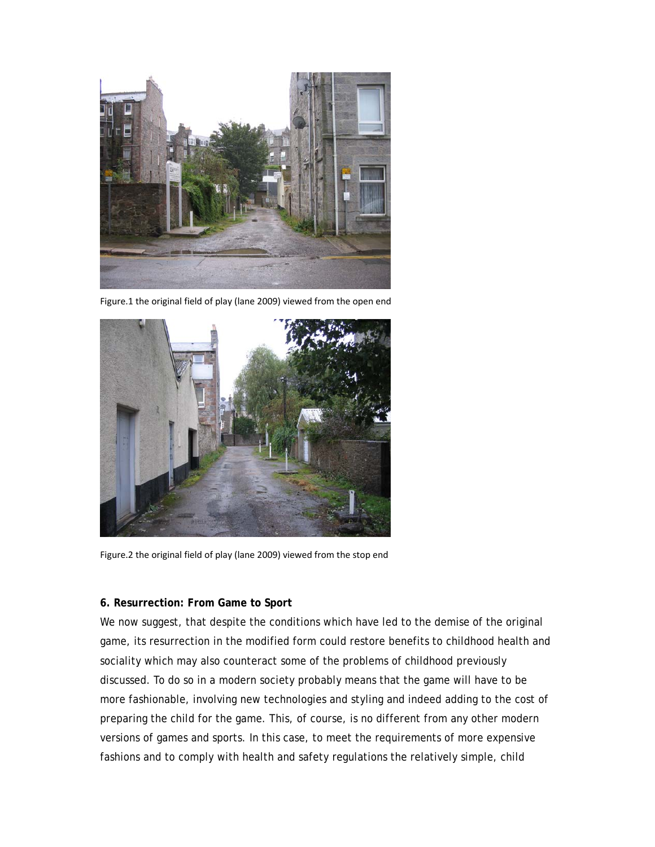

Figure.1 the original field of play (lane 2009) viewed from the open end



Figure.2 the original field of play (lane 2009) viewed from the stop end

# **6. Resurrection: From Game to Sport**

We now suggest, that despite the conditions which have led to the demise of the original game, its resurrection in the modified form could restore benefits to childhood health and sociality which may also counteract some of the problems of childhood previously discussed. To do so in a modern society probably means that the game will have to be more fashionable, involving new technologies and styling and indeed adding to the cost of preparing the child for the game. This, of course, is no different from any other modern versions of games and sports. In this case, to meet the requirements of more expensive fashions and to comply with health and safety regulations the relatively simple, child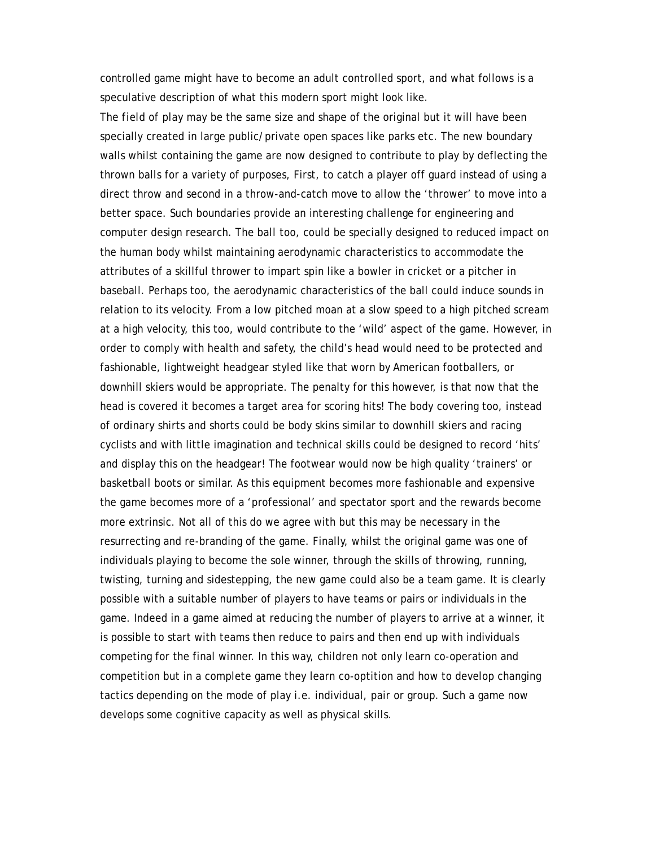controlled game might have to become an adult controlled sport, and what follows is a speculative description of what this modern sport might look like.

The *field of play* may be the same size and shape of the original but it will have been specially created in large public/private open spaces like parks etc. The new boundary walls whilst containing the game are now designed to contribute to play by deflecting the thrown balls for a variety of purposes, First, to catch a player off guard instead of using a direct throw and second in a throw-and-catch move to allow the 'thrower' to move into a better space. Such boundaries provide an interesting challenge for engineering and computer design research. The *ball* too, could be specially designed to reduced impact on the human body whilst maintaining aerodynamic characteristics to accommodate the attributes of a skillful thrower to impart spin like a bowler in cricket or a pitcher in baseball. Perhaps too, the aerodynamic characteristics of the ball could induce sounds in relation to its velocity. From a low pitched moan at a slow speed to a high pitched scream at a high velocity, this too, would contribute to the 'wild' aspect of the game. However, in order to comply with health and safety, the child's head would need to be protected and fashionable, lightweight headgear styled like that worn by American footballers, or downhill skiers would be appropriate. The penalty for this however, is that now that the head is covered it becomes a target area for scoring hits! The body covering too, instead of ordinary shirts and shorts could be body skins similar to downhill skiers and racing cyclists and with little imagination and technical skills could be designed to record 'hits' and display this on the headgear! The footwear would now be high quality 'trainers' or basketball boots or similar. As this equipment becomes more fashionable and expensive the game becomes more of a 'professional' and spectator sport and the rewards become more extrinsic. Not all of this do we agree with but this may be necessary in the resurrecting and re-branding of the game. Finally, whilst the original game was one of individuals playing to become the sole winner, through the skills of throwing, running, twisting, turning and sidestepping, the new game could also be a team game. It is clearly possible with a suitable number of players to have teams or pairs or individuals in the game. Indeed in a game aimed at reducing the number of players to arrive at a winner, it is possible to start with teams then reduce to pairs and then end up with individuals competing for the final winner. In this way, children not only learn co-operation and competition but in a complete game they learn co-optition and how to develop changing tactics depending on the mode of play i.e. individual, pair or group. Such a game now develops some cognitive capacity as well as physical skills.